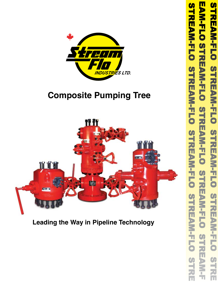

### **Composite Pumping Tree**



**Leading the Way in Pipeline Technology**

**FANILLO STRANDING STREAM-FLO STREAM-FLO STREAM-FLO STREAM-FLO**  $\bullet$ ۳ ΣÜ EAM-FLO **STREAM-FLO**  $\bullet$ **TREAM-FLO**  $\bullet$ -ズ  $\widetilde{\mathbf{u}}$ **STREAM-FLO**  $\boldsymbol{\omega}$ S<br>H-L ⊣ **REAR-FLO 5**  $\boldsymbol{\omega}$ ۰ 万  $\overline{\mathbf{u}}$  $\overline{C}$ S-RE b Ľ  $\frac{1}{2}$  $\frac{1}{1}$ Ŧ.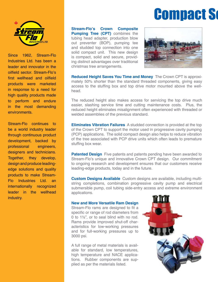## **Compact Solid**



Since 1962, Stream-Flo Industries Ltd. has been a leader and innovator in the oilfield sector. Stream-Flo's first wellhead and oilfield products were marketed in response to a need for high quality products made to perform and endure in the most demanding environments.

Stream-Flo continues to be a world industry leader through continuous product development, backed by professional engineers, designers and technicians. Together, they develop, design and produce leadingedge solutions and quality products to make Stream-Flo Industries Ltd. an internationally recognized leader in the wellhead industry.

**Stream-Flo's Crown Composite Pumping Tree (CPT)** combines the tubing head adapter, production blow out preventer (BOP), pumping tee and studded top connection into one solid compact unit. This new design is compact, solid and secure, providing distinct advantages over traditional christmas tree arrangements.



**Reduced Height Saves You Time and Money** The Crown CPT is approximately 50% shorter than the standard threaded components, giving easy access to the stuffing box and top drive motor mounted above the wellhead.

The reduced height also makes access for servicing the top drive much easier, slashing service time and cutting maintenance costs. Plus, the reduced height eliminates misalignment often experienced with threaded or welded assemblies of the previous standard.

**Eliminates Vibration Failures** A studded connection is provided at the top of the Crown CPT to support the motor used in progressive cavity pumping (PCP) applications. The solid compact design also helps to reduce vibration of the tree associated with PCP drive units which often leads to premature stuffing box wear.

**Patented Design** Five patents and patents pending have been awarded to Stream-Flo's unique and innovative Crown CPT design. Our commitment to ongoing research and development ensures that our customers receive leading-edge products, today and in the future.

**Custom Designs Available** Custom designs are available, including multistring completions, combination progressive cavity pump and electrical submersible pump, coil tubing side-entry access and extreme environment applications.

#### **New and More Versatile Ram Design**

Stream-Flo rams are designed to fit a specific or range of rod diameters from 0 to 1½", or to seal blind with no rod. Rams provide improved shut-off characteristics for low-working pressures and for full-working pressures up to 3000 psi.

A full range of metal materials is available for standard, low temperatures, high temperature and NACE applications. Rubber components are supplied as per the materials listed.

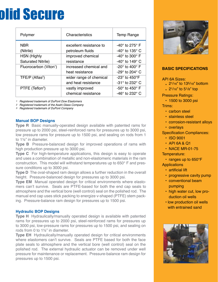# **olid Secure**

| Polymer                            | Characteristics         | <b>Temp Range</b>                  |
|------------------------------------|-------------------------|------------------------------------|
| <b>NBR</b>                         | excellent resistance to | -40° to 275° F                     |
| (Nitrile)                          | petroleum fluids        | -40 $^{\circ}$ to 135 $^{\circ}$ C |
| <b>HSN</b> (Highly                 | improved chemical       | -40 $^{\circ}$ to 300 $^{\circ}$ F |
| Saturated Nitrile)                 | resistance              | -40 $^{\circ}$ to 149 $^{\circ}$ C |
| Fluorocarbon (Viton <sup>1</sup> ) | increased chemical and  | -20 $^{\circ}$ to 400 $^{\circ}$ F |
|                                    | heat resistance         | -29 $^{\circ}$ to 204 $^{\circ}$ C |
| TFE/P $(Atlas2)$                   | wider range of chemical | -23 $\degree$ to 450 $\degree$ F   |
|                                    | and heat resistance     | -31° to 232° C                     |
| PTFE (Teflon <sup>3</sup> )        | vastly improved         | -50 $\degree$ to 450 $\degree$ F   |
|                                    | chemical resistance     | -46 $\degree$ to 232 $\degree$ C   |

*1 Registered trademark of DuPont Dow Elastomers*

*2 Registered trademark of the Asahi Glass Company*

*3 Registered trademark of DuPont Company*

#### **Manual BOP Designs**

**Type R** Basic manually-operated design available with patented rams for pressure up to 2000 psi, steel-reinforced rams for pressures up to 3000 psi, low pressure rams for pressure up to 1500 psi, and sealing on rods from 1 to 1½" in diameter.

**Type B** Pressure-balanced design for improved operations of rams with high production pressure up to 3000 psi.

**Type C** For high-temperature applications, this design is easy to operate and uses a combination of metallic and non-elastomeric materials in the ram construction. This model will withstand temperatures up to 650° F and pressure conditions up to 3000 psi.

**Type D** The oval-shaped ram design allows a further reduction in the overall height. Pressure-balanced design for pressures up to 3000 psi.

**Type EM** Manual operated design for critical environments where elastomers can't survive. Seals are PTFE-based for both the end cap seals to atmosphere and the vertical bore (well control) seal on the polished rod. The manual end cap uses stick packing to energize v-shaped (PTFE) stem packing. Pressure-balance ram design for pressures up to 1500 psi.

#### **Hydraulic BOP Designs**

**Type H** Hydraulically/manually operated design is available with patented rams for pressures up to 2000 psi, steel-reinforced rams for pressures up to 3000 psi, low-pressure rams for pressures up to 1500 psi, and sealing on rods from 0 to 1½" in diameter.

**Type EH** Hydraulically/manually operated design for critical environments where elastomers can't survive. Seals are PTFE based for both the face plate seals to atmosphere and the vertical bore (well control) seal on the polished rod. The external hydraulic actuator can be removed under well pressure for maintenance or replacement. Pressure-balance ram design for pressures up to 1500 psi.



#### **BASIC SPECIFICATIONS**

API 6A Sizes:

- 21/16" to 135/18" bottom
- 21/16" to 51/8" top

Pressure Ratings:

• 1500 to 3000 psi

Trims:

- carbon steel
- stainless steel
- corrosion-resistant alloys
- overlays

#### Specification Compliances:

- ISO 9001
- API 6A & Q1
- NACE MR-01-75

Temperature:

• ranges up to 650°F

- **Applications** 
	- artificial lift
	- progressive cavity pump
	- conventional beam pumping
	- high water cut, low production oil wells
	- low production oil wells with entrained sand